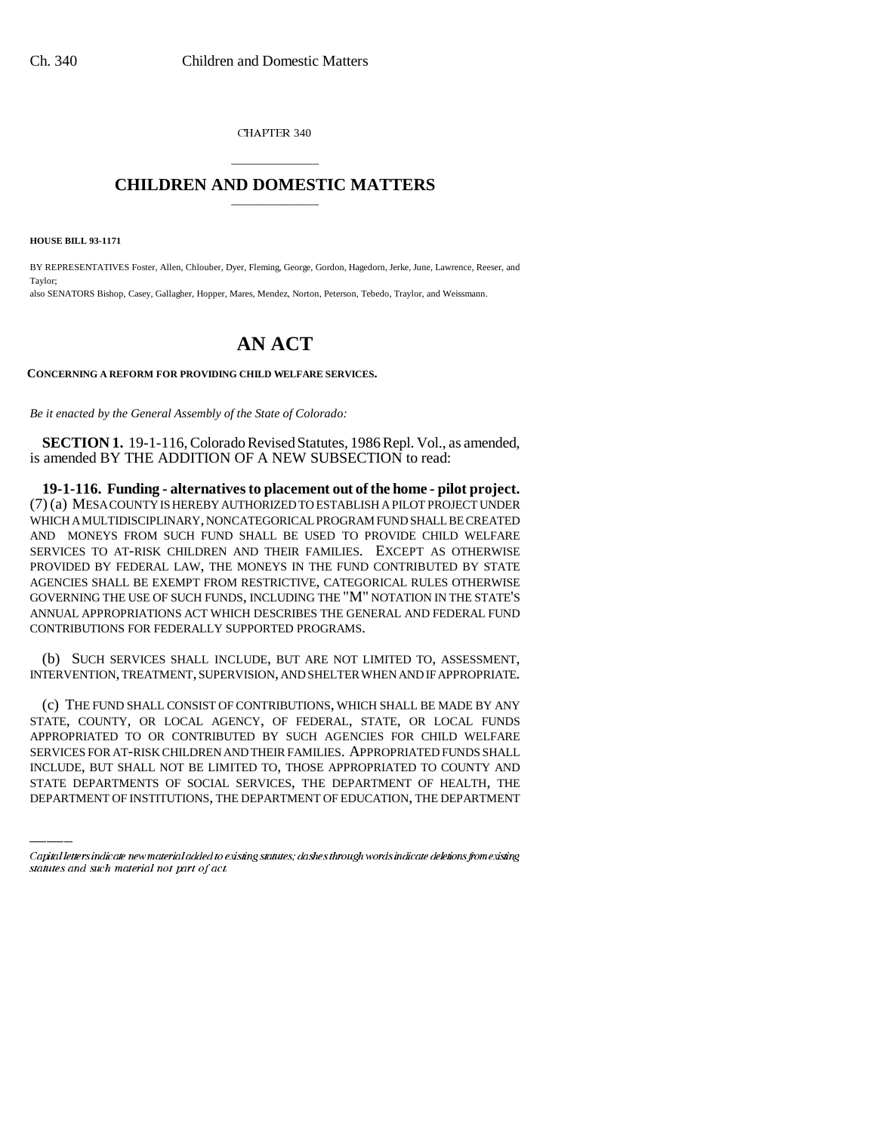CHAPTER 340

## \_\_\_\_\_\_\_\_\_\_\_\_\_\_\_ **CHILDREN AND DOMESTIC MATTERS** \_\_\_\_\_\_\_\_\_\_\_\_\_\_\_

**HOUSE BILL 93-1171**

BY REPRESENTATIVES Foster, Allen, Chlouber, Dyer, Fleming, George, Gordon, Hagedorn, Jerke, June, Lawrence, Reeser, and Taylor; also SENATORS Bishop, Casey, Gallagher, Hopper, Mares, Mendez, Norton, Peterson, Tebedo, Traylor, and Weissmann.

## **AN ACT**

**CONCERNING A REFORM FOR PROVIDING CHILD WELFARE SERVICES.**

*Be it enacted by the General Assembly of the State of Colorado:*

**SECTION 1.** 19-1-116, Colorado Revised Statutes, 1986 Repl. Vol., as amended, is amended BY THE ADDITION OF A NEW SUBSECTION to read:

**19-1-116. Funding - alternatives to placement out of the home - pilot project.** (7) (a) MESA COUNTY IS HEREBY AUTHORIZED TO ESTABLISH A PILOT PROJECT UNDER WHICH A MULTIDISCIPLINARY, NONCATEGORICAL PROGRAM FUND SHALL BE CREATED AND MONEYS FROM SUCH FUND SHALL BE USED TO PROVIDE CHILD WELFARE SERVICES TO AT-RISK CHILDREN AND THEIR FAMILIES. EXCEPT AS OTHERWISE PROVIDED BY FEDERAL LAW, THE MONEYS IN THE FUND CONTRIBUTED BY STATE AGENCIES SHALL BE EXEMPT FROM RESTRICTIVE, CATEGORICAL RULES OTHERWISE GOVERNING THE USE OF SUCH FUNDS, INCLUDING THE "M" NOTATION IN THE STATE'S ANNUAL APPROPRIATIONS ACT WHICH DESCRIBES THE GENERAL AND FEDERAL FUND CONTRIBUTIONS FOR FEDERALLY SUPPORTED PROGRAMS.

(b) SUCH SERVICES SHALL INCLUDE, BUT ARE NOT LIMITED TO, ASSESSMENT, INTERVENTION, TREATMENT, SUPERVISION, AND SHELTER WHEN AND IF APPROPRIATE.

APPROPRIATED TO OR CONTRIBUTED BY SUCH AGENCIES FOR CHILD WELFARE (c) THE FUND SHALL CONSIST OF CONTRIBUTIONS, WHICH SHALL BE MADE BY ANY STATE, COUNTY, OR LOCAL AGENCY, OF FEDERAL, STATE, OR LOCAL FUNDS SERVICES FOR AT-RISK CHILDREN AND THEIR FAMILIES. APPROPRIATED FUNDS SHALL INCLUDE, BUT SHALL NOT BE LIMITED TO, THOSE APPROPRIATED TO COUNTY AND STATE DEPARTMENTS OF SOCIAL SERVICES, THE DEPARTMENT OF HEALTH, THE DEPARTMENT OF INSTITUTIONS, THE DEPARTMENT OF EDUCATION, THE DEPARTMENT

Capital letters indicate new material added to existing statutes; dashes through words indicate deletions from existing statutes and such material not part of act.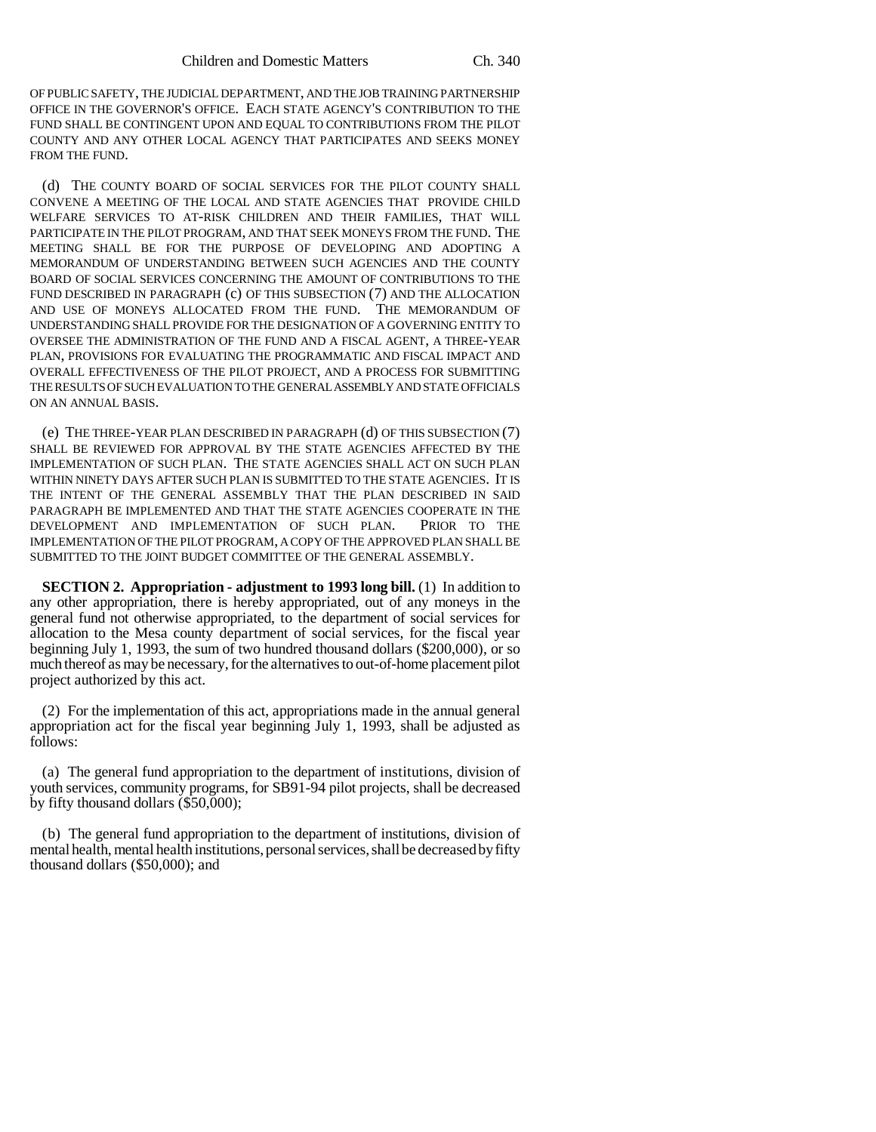OF PUBLIC SAFETY, THE JUDICIAL DEPARTMENT, AND THE JOB TRAINING PARTNERSHIP OFFICE IN THE GOVERNOR'S OFFICE. EACH STATE AGENCY'S CONTRIBUTION TO THE FUND SHALL BE CONTINGENT UPON AND EQUAL TO CONTRIBUTIONS FROM THE PILOT COUNTY AND ANY OTHER LOCAL AGENCY THAT PARTICIPATES AND SEEKS MONEY FROM THE FUND.

(d) THE COUNTY BOARD OF SOCIAL SERVICES FOR THE PILOT COUNTY SHALL CONVENE A MEETING OF THE LOCAL AND STATE AGENCIES THAT PROVIDE CHILD WELFARE SERVICES TO AT-RISK CHILDREN AND THEIR FAMILIES, THAT WILL PARTICIPATE IN THE PILOT PROGRAM, AND THAT SEEK MONEYS FROM THE FUND. THE MEETING SHALL BE FOR THE PURPOSE OF DEVELOPING AND ADOPTING A MEMORANDUM OF UNDERSTANDING BETWEEN SUCH AGENCIES AND THE COUNTY BOARD OF SOCIAL SERVICES CONCERNING THE AMOUNT OF CONTRIBUTIONS TO THE FUND DESCRIBED IN PARAGRAPH (c) OF THIS SUBSECTION (7) AND THE ALLOCATION AND USE OF MONEYS ALLOCATED FROM THE FUND. THE MEMORANDUM OF UNDERSTANDING SHALL PROVIDE FOR THE DESIGNATION OF A GOVERNING ENTITY TO OVERSEE THE ADMINISTRATION OF THE FUND AND A FISCAL AGENT, A THREE-YEAR PLAN, PROVISIONS FOR EVALUATING THE PROGRAMMATIC AND FISCAL IMPACT AND OVERALL EFFECTIVENESS OF THE PILOT PROJECT, AND A PROCESS FOR SUBMITTING THE RESULTS OF SUCH EVALUATION TO THE GENERAL ASSEMBLY AND STATE OFFICIALS ON AN ANNUAL BASIS.

(e) THE THREE-YEAR PLAN DESCRIBED IN PARAGRAPH (d) OF THIS SUBSECTION (7) SHALL BE REVIEWED FOR APPROVAL BY THE STATE AGENCIES AFFECTED BY THE IMPLEMENTATION OF SUCH PLAN. THE STATE AGENCIES SHALL ACT ON SUCH PLAN WITHIN NINETY DAYS AFTER SUCH PLAN IS SUBMITTED TO THE STATE AGENCIES. IT IS THE INTENT OF THE GENERAL ASSEMBLY THAT THE PLAN DESCRIBED IN SAID PARAGRAPH BE IMPLEMENTED AND THAT THE STATE AGENCIES COOPERATE IN THE DEVELOPMENT AND IMPLEMENTATION OF SUCH PLAN. PRIOR TO THE IMPLEMENTATION OF THE PILOT PROGRAM, A COPY OF THE APPROVED PLAN SHALL BE SUBMITTED TO THE JOINT BUDGET COMMITTEE OF THE GENERAL ASSEMBLY.

**SECTION 2. Appropriation - adjustment to 1993 long bill.** (1) In addition to any other appropriation, there is hereby appropriated, out of any moneys in the general fund not otherwise appropriated, to the department of social services for allocation to the Mesa county department of social services, for the fiscal year beginning July 1, 1993, the sum of two hundred thousand dollars (\$200,000), or so much thereof as may be necessary, for the alternatives to out-of-home placement pilot project authorized by this act.

(2) For the implementation of this act, appropriations made in the annual general appropriation act for the fiscal year beginning July 1, 1993, shall be adjusted as follows:

(a) The general fund appropriation to the department of institutions, division of youth services, community programs, for SB91-94 pilot projects, shall be decreased by fifty thousand dollars (\$50,000);

(b) The general fund appropriation to the department of institutions, division of mental health, mental health institutions, personal services, shall be decreased by fifty thousand dollars (\$50,000); and